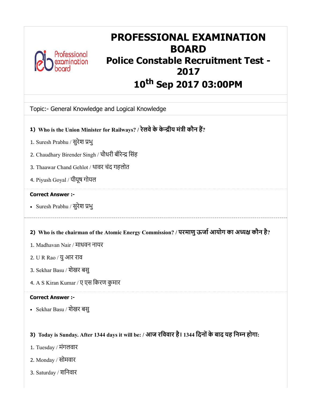

# PROFESSIONAL EXAMINATION BOARD Police Constable Recruitment Test - 2017 10 th Sep 2017 03:00PM

# Topic:- General Knowledge and Logical Knowledge

- 1) Who is the Union Minister for Railways? / रेलवे के केन्द्रीय मंत्री कौन है?
- 1. Suresh Prabhu / सुरेश भु
- 2. Chaudhary Birender Singh / चौधरी बीरेन्द्र सिंह
- 3. Thaawar Chand Gehlot / थावर चंद गहलोत
- 4. Piyush Goyal / पीयूष गोयल

#### Correct Answer :-

- Suresh Prabhu / सुरेश भु
- 2) Who is the chairman of the Atomic Energy Commission? / परमाणु ऊर्जा आयोग का अध्यक्ष कौन है?
- 1. Madhavan Nair / माधवन नायर
- 2. U R Rao / युआर राव
- 3. Sekhar Basu / शेखर बसु
- 4. A S Kiran Kumar / ए एस िकरण कुमार

#### Correct Answer :-

Sekhar Basu / शेखर बसु

# 3) Today is Sunday. After 1344 days it will be: / आज रिववार है। 1344 िदनोंके बाद यह िनन होगा:

- 1. Tuesday / मंगलवार
- 2. Monday / सोमवार
- 3. Saturday / शिनवार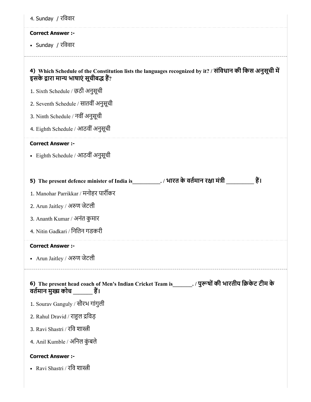| 4. Sunday / रविवार                                                                                                                                 |
|----------------------------------------------------------------------------------------------------------------------------------------------------|
| <b>Correct Answer :-</b>                                                                                                                           |
| • Sunday / रविवार                                                                                                                                  |
|                                                                                                                                                    |
| 4) Which Schedule of the Constitution lists the languages recognized by it? / संविधान की किस अनुसूची में<br>इसके द्वारा मान्य भाषाएं सूचीबद्ध हैं? |
| 1. Sixth Schedule / छठी अनुसूची                                                                                                                    |
| 2. Seventh Schedule / सातवीं अनुसूची                                                                                                               |
| 3. Ninth Schedule / नवीं अनुसूची                                                                                                                   |
| 4. Eighth Schedule / आठवीं अनुसूची                                                                                                                 |
| <b>Correct Answer :-</b>                                                                                                                           |
| • Eighth Schedule / आठवीं अनुसूची                                                                                                                  |
|                                                                                                                                                    |
| हैं।                                                                                                                                               |
| 1. Manohar Parrikkar / मनोहर पार्रीकर                                                                                                              |
| 2. Arun Jaitley / अरुण जेटली                                                                                                                       |
| 3. Ananth Kumar / अनंत कुमार                                                                                                                       |
| 4. Nitin Gadkari / नितिन गडकरी                                                                                                                     |
| <b>Correct Answer :-</b>                                                                                                                           |
| • Arun Jaitley / अरुण जेटली                                                                                                                        |
| 6) The present head coach of Men's Indian Cricket Team is________. / पुरूषों की भारतीय क्रिकेट टीम के<br>वर्तमान मुख्य कोच हैं।                    |
| 1. Sourav Ganguly / सौरभ गांगुली                                                                                                                   |
| 2. Rahul Dravid / राहुल द्रविड़                                                                                                                    |
| 3. Ravi Shastri / रवि शास्त्री                                                                                                                     |
| 4. Anil Kumble / अनिल कुंबले                                                                                                                       |
| <b>Correct Answer :-</b>                                                                                                                           |
| • Ravi Shastri / रवि शास्त्री                                                                                                                      |
|                                                                                                                                                    |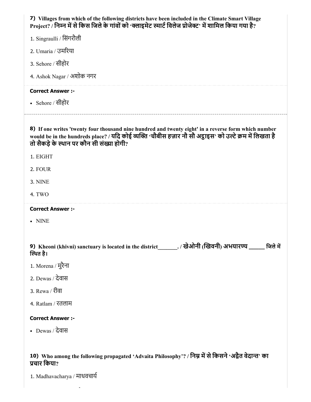| 7) Villages from which of the following districts have been included in the Climate Smart Village<br>Project? / निम्न में से किस जिले के गांवों को 'क्लाइमेट स्मार्ट विलेज प्रोजेक्ट' में शामिल किया गया है?                                                  |
|---------------------------------------------------------------------------------------------------------------------------------------------------------------------------------------------------------------------------------------------------------------|
| 1. Singraulli / सिंगरौली                                                                                                                                                                                                                                      |
| 2. Umaria / उमरिया                                                                                                                                                                                                                                            |
| 3. Sehore / सीहोर                                                                                                                                                                                                                                             |
| 4. Ashok Nagar / अशोक नगर                                                                                                                                                                                                                                     |
| <b>Correct Answer :-</b>                                                                                                                                                                                                                                      |
| • Sehore / सीहोर                                                                                                                                                                                                                                              |
| 8) If one writes 'twenty four thousand nine hundred and twenty eight' in a reverse form which number<br>would be in the hundreds place? / यदि कोई व्यक्ति 'चौबीस हज़ार नौ सौ अट्ठाइस' को उल्टे क्रम में लिखता है<br>तो सैकड़े के स्थान पर कौन सी संख्या होगी? |
| 1. EIGHT                                                                                                                                                                                                                                                      |
| 2. FOUR                                                                                                                                                                                                                                                       |
| 3. NINE                                                                                                                                                                                                                                                       |
| 4. TWO                                                                                                                                                                                                                                                        |
| <b>Correct Answer :-</b>                                                                                                                                                                                                                                      |
| • NINE                                                                                                                                                                                                                                                        |
| 9) Kheoni (khivni) sanctuary is located in the district_______. / खेओनी (खिवनी) अभयारण्य _____ जिले में<br>स्थित है।                                                                                                                                          |
| 1. Morena / मुरैना                                                                                                                                                                                                                                            |
| 2. Dewas / देवास                                                                                                                                                                                                                                              |
| 3. Rewa / रीवा                                                                                                                                                                                                                                                |
| 4. Ratlam / रतलाम                                                                                                                                                                                                                                             |
| <b>Correct Answer :-</b>                                                                                                                                                                                                                                      |
| • Dewas / देवास                                                                                                                                                                                                                                               |
| 10) Who among the following propagated 'Advaita Philosophy'? / निम्न में से किसने 'अद्वैत वेदान्त' का<br>प्रचार किया?                                                                                                                                         |

1. Madhavacharya / माधवचाय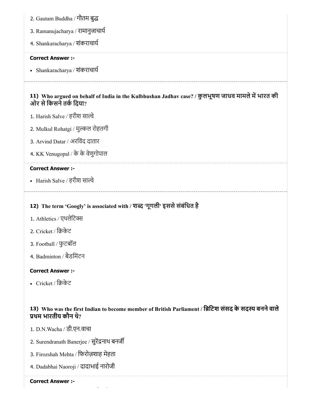- 2. Gautam Buddha / गौतम बु
- 3. Ramanujacharya / रामानुजाचाय
- 4. Shankaracharya / शंकराचाय

#### Correct Answer :-

Shankaracharya / शंकराचाय

# 11) Who argued on behalf of India in the Kulbhushan Jadhav case? / कुलभूषण जाधव मामले में भारत की ओर से किसने तर्क दिया?

- 1. Harish Salve / हरीश साल्वे
- 2. Mulkul Rohatgi / मुल्कल रोहतगी
- 3. Arvind Datar / अरिवंद दातार
- 4. KK Venugopal / के के वेणुगोपाल

### Correct Answer :-

• Harish Salve / हरीश साल्वे

# 12) The term 'Googly' is associated with / शब्द 'गूगली' इससे संबंधित है

- 1. Athletics / एथलेटिक्स
- 2. Cricket / िकेट
- 3. Football / फुटबॉल
- 4. Badminton / बैडिमंटन

#### Correct Answer :-

• Cricket / क्रिकेट

# 13) Who was the first Indian to become member of British Parliament / ब्रिटिश संसद के सदस्य बनने वाले थम भारतीय कौन थे?

- 1. D.N.Wacha / डी.एन.वाचा
- 2. Surendranath Banerjee / सुरेंद्रनाथ बनर्जी
- 3. Firozshah Mehta / िफरोज़शाह मेहता
- 4. Dadabhai Naoroji / दादाभाई नारोजी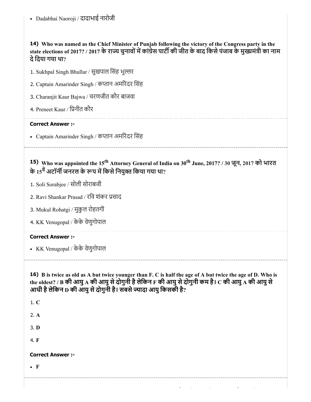14) Who was named as the Chief Minister of Punjab following the victory of the Congress party in the state elections of 2017? / 2017 के राज्य चुनावों में कांग्रेस पार्टी की जीत के बाद किसे पंजाब के मुख्यमंत्री का नाम देिदया गया था?

|  |  | 1. Sukhpal Singh Bhullar / सुखपाल सिंह भुल्लर |
|--|--|-----------------------------------------------|
|  |  |                                               |
|  |  |                                               |

- 2. Captain Amarinder Singh / कप्तान अमरिंदर सिंह
- 3. Charanjit Kaur Bajwa / चरणजीत कौर बाजवा
- 4. Preneet Kaur / िनीत कौर

### Correct Answer :-

• Captain Amarinder Singh / कप्तान अमरिंदर सिंह

15) Who was appointed the 15<sup>th</sup> Attorney General of India on 30<sup>th</sup> June, 2017? / 30 जून, 2017 को भारत के 15<sup>वे</sup> अटॉर्नी जनरल के रूप में किसे नियुक्त किया गया था?

- 1. Soli Sorabjee / सोली सोराबजी
- 2. Ravi Shankar Prasad / रिव शंकर साद
- 3. Mukul Rohatgi / मुकुल रोहतगी
- 4. KK Venugopal / केके वेणुगोपाल

# Correct Answer :-

KK Venugopal / केके वेणुगोपाल

16) B is twice as old as A but twice younger than F. C is half the age of A but twice the age of D. Who is the oldest? / B की आयु A की आयु से दोगुनी है लेकिन F की आयु से दोगुनी कम है।  $\rm C$  की आयु A की आयु से आधी है लेकिन D की आयु से दोगुनी है। सबसे ज्यादा आयु किसकी है?

| $\bullet$ F              |  |  |  |
|--------------------------|--|--|--|
| <b>Correct Answer :-</b> |  |  |  |
| 4. F                     |  |  |  |
| 3. D                     |  |  |  |
| 2. A                     |  |  |  |
| 1. C                     |  |  |  |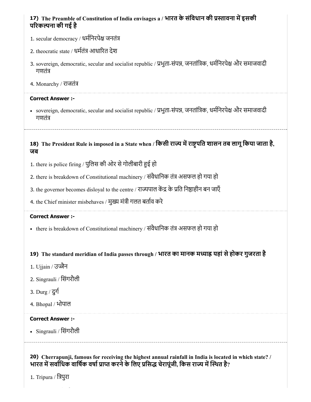# 17) The Preamble of Constitution of India envisages a / भारत के संविधान की प्रस्तावना में इसकी परकना की गई है

- 1. secular democracy / धर्मनिरपेक्ष जनतंत्र
- 2. theocratic state / धर्मतंत्र आधारित देश
- 3. sovereign, democratic, secular and socialist republic / प्रभुता-संपन्न, जनतांत्रिक, धर्मनिरपेक्ष और समाजवादी गणतं
- 4. Monarchy / राजतं

#### Correct Answer :-

• sovereign, democratic, secular and socialist republic / प्रभुता-संपन्न, जनतांत्रिक, धर्मनिरपेक्ष और समाजवादी गणतं

18) The President Rule is imposed in a State when / किसी राज्य में राष्ट्रपति शासन तब लागू किया जाता है, जब

- 1. there is police firing / पुलिस की ओर से गोलीबारी हुई हो
- 2. there is breakdown of Constitutional machinery / संवैधानिक तंत्र असफल हो गया हो
- 3. the governor becomes disloyal to the centre / राज्यपाल केंद्र के प्रति निष्ठाहीन बन जाएँ
- 4. the Chief minister misbehaves / मुख्य मंत्री गलत बर्ताव करे

#### Correct Answer :-

- there is breakdown of Constitutional machinery / संवैधानिक तंत्र असफल हो गया हो

# 19) The standard meridian of India passes through / भारत का मानक मध्याह्न यहां से होकर गुजरता है

- 1. Ujjain / उज्जैन
- 2. Singrauli / िसंगरौली
- 3. Durg / दुग
- 4. Bhopal / भोपाल

#### Correct Answer :-

Singrauli / िसंगरौली

20) Cherrapunji, famous for receiving the highest annual rainfall in India is located in which state? / भारत में सर्वाधिक वार्षिक वर्षा प्राप्त करने के लिए प्रसिद्ध चेरापूंजी, किस राज्य में स्थित है?

1. Tripura / िपुरा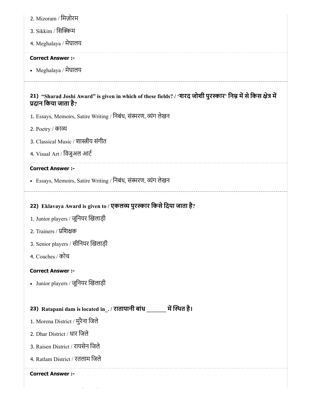- 2. Mizoram / िमज़ोरम
- 3. Sikkim / सिक्किम
- 4. Meghalaya / मेघालय

### Correct Answer :-

Meghalaya / मेघालय

# 21) "Sharad Joshi Award" is given in which of these fields? / 'शरद जोशी पुरस्कार' निम्न में से किस क्षेत्र मे दान िकया जाता है?

- 1. Essays, Memoirs, Satire Writing / निबंध, संस्मरण, व्यंग लेखन
- 2. Poetry / काय
- 3. Classical Music / शास्त्रीय संगीत
- 4. Visual Art / विजुअल आर्ट

#### Correct Answer :-

• Essays, Memoirs, Satire Writing / निबंध, संस्मरण, व्यंग लेखन

# 22) Eklavaya Award is given to / एकलव्य पुरस्कार किसे दिया जाता है?

- 1. Junior players / जूिनयर खलाड़ी
- 2. Trainers / प्रशिक्षक
- 3. Senior players / सीिनयर खलाड़ी
- 4. Coaches / कोच

# Correct Answer :-

Junior players / जूिनयर खलाड़ी

# 23) Ratapani dam is located in\_. / रातापानी बांध \_\_\_\_\_\_\_ में स्थित है।

- 1. Morena District / मुरैना िजले
- 2. Dhar District / धार िजले
- 3. Raisen District / रायसेन िजले
- 4. Ratlam District / रतलाम िजले

#### Correct Answer :-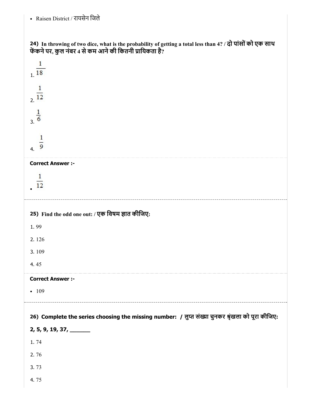# - Raisen District / रायसेन जिले

| 24) In throwing of two dice, what is the probability of getting a total less than 4? / दो पांसों को एक साथ<br>फेंकने पर, कुल नंबर 4 से कम आने की कितनी प्रायिकता है? |
|----------------------------------------------------------------------------------------------------------------------------------------------------------------------|
| 1<br>1 <sup>18</sup>                                                                                                                                                 |
| $\mathbf{1}$<br>2.12                                                                                                                                                 |
| $\frac{1}{3}$                                                                                                                                                        |
| $\overline{9}$<br>4.                                                                                                                                                 |
| <b>Correct Answer :-</b>                                                                                                                                             |
| 1<br>12                                                                                                                                                              |
| 25) Find the odd one out: / एक विषम ज्ञात कीजिए:                                                                                                                     |
|                                                                                                                                                                      |
| 1.99                                                                                                                                                                 |
| 2.126                                                                                                                                                                |
| 3.109                                                                                                                                                                |
| 4.45                                                                                                                                                                 |
| <b>Correct Answer :-</b>                                                                                                                                             |
| $-109$                                                                                                                                                               |
|                                                                                                                                                                      |
| 26) Complete the series choosing the missing number: / लुप्त संख्या चुनकर श्रृंखला को पूरा कीजिए:                                                                    |
| $2, 5, 9, 19, 37, \underline{\hspace{2.5cm}}$                                                                                                                        |
| 1.74                                                                                                                                                                 |
| 2.76<br>3.73                                                                                                                                                         |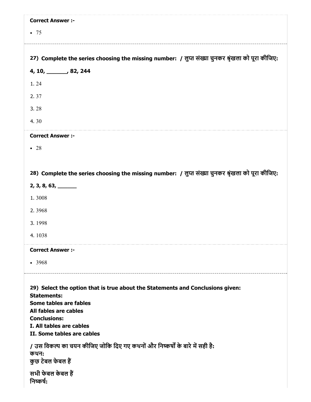| <b>Correct Answer :-</b>                                                                                                                                                                                                                 |
|------------------------------------------------------------------------------------------------------------------------------------------------------------------------------------------------------------------------------------------|
| • 75                                                                                                                                                                                                                                     |
|                                                                                                                                                                                                                                          |
| 27) Complete the series choosing the missing number: / लुप्त संख्या चुनकर श्रृंखला को पूरा कीजिए:                                                                                                                                        |
| 4, 10, 32, 244                                                                                                                                                                                                                           |
| 1.24                                                                                                                                                                                                                                     |
| 2.37                                                                                                                                                                                                                                     |
| 3.28                                                                                                                                                                                                                                     |
| 4.30                                                                                                                                                                                                                                     |
| <b>Correct Answer :-</b>                                                                                                                                                                                                                 |
| $\bullet$ 28                                                                                                                                                                                                                             |
|                                                                                                                                                                                                                                          |
| 28) Complete the series choosing the missing number: / लुप्त संख्या चुनकर श्रृंखला को पूरा कीजिए:                                                                                                                                        |
| $2, 3, 8, 63, \underline{\hspace{1cm}}$                                                                                                                                                                                                  |
| 1.3008                                                                                                                                                                                                                                   |
| 2.3968                                                                                                                                                                                                                                   |
| 3.1998                                                                                                                                                                                                                                   |
| 4.1038                                                                                                                                                                                                                                   |
| <b>Correct Answer :-</b>                                                                                                                                                                                                                 |
| • 3968                                                                                                                                                                                                                                   |
| 29) Select the option that is true about the Statements and Conclusions given:<br><b>Statements:</b><br>Some tables are fables<br>All fables are cables<br><b>Conclusions:</b><br>I. All tables are cables<br>II. Some tables are cables |
| / उस विकल्प का चयन कीजिए जोकि दिए गए कथनों और निष्कर्षों के बारे में सही है:<br>कथन:<br>कुछ टेबल फेबल हैं                                                                                                                                |
| सभी फेबल केबल हैं<br>निष्कर्ष:                                                                                                                                                                                                           |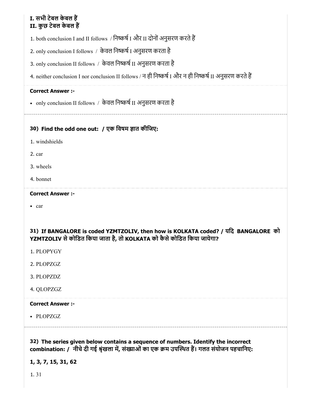# I. सभी टेबल केबल ह II. कुछ टेबल केबल ह

1. both conclusion I and II follows / निष्कर्ष I और II दोनों अनुसरण करते हैं

2. only conclusion I follows / केवल निष्कर्ष I अनुसरण करता है

3. only conclusion II follows / केवल निष्कर्ष II अनुसरण करता है

4. neither conclusion I nor conclusion II follows / न ही निष्कर्ष I और न ही निष्कर्ष II अनुसरण करते हैं

# Correct Answer :-

• only conclusion II follows / केवल निष्कर्ष II अनुसरण करता है

# 30) Find the odd one out: / एक विषम ज्ञात कीजिए:

- 1. windshields
- 2. car
- 3. wheels
- 4. bonnet

# Correct Answer :-

• car

# 31) If BANGALORE is coded YZMTZOLIV, then how is KOLKATA coded? / यिद BANGALORE को YZMTZOLIV से कोडित किया जाता है, तो KOLKATA को कैसे कोडित किया जायेगा?

- 1. PLOPYGY
- 2. PLOPZGZ
- 3. PLOPZDZ
- 4. QLOPZGZ

# Correct Answer :-

PLOPZGZ

32) The series given below contains a sequence of numbers. Identify the incorrect

combination: / नीचे दी गई श्रृंखला में, संख्याओं का एक क्रम उपस्थित हैं। गलत संयोजन पहचानिए:

1, 3, 7, 15, 31, 62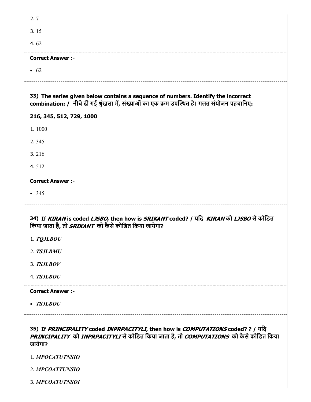| 2.7                                                                                                                                                                                                        |
|------------------------------------------------------------------------------------------------------------------------------------------------------------------------------------------------------------|
| 3.15                                                                                                                                                                                                       |
| 4.62                                                                                                                                                                                                       |
| <b>Correct Answer :-</b>                                                                                                                                                                                   |
| $\bullet$ 62                                                                                                                                                                                               |
| 33) The series given below contains a sequence of numbers. Identify the incorrect<br>combination: / नीचे दी गई श्रृंखला में, संख्याओं का एक क्रम उपस्थित हैं। गलत संयोजन पहचानिए:                          |
| 216, 345, 512, 729, 1000                                                                                                                                                                                   |
| 1.1000                                                                                                                                                                                                     |
| 2.345                                                                                                                                                                                                      |
| 3.216                                                                                                                                                                                                      |
| 4.512                                                                                                                                                                                                      |
| <b>Correct Answer :-</b>                                                                                                                                                                                   |
| $-345$                                                                                                                                                                                                     |
| 34) If KIRAN is coded LJSBO, then how is SRIKANT coded? / यदि KIRAN को LJSBO से कोडित<br>किया जाता है, तो SRIKANT को कैसे कोडित किया जायेगा?                                                               |
| 1. TQJ L BOU                                                                                                                                                                                               |
| 2. TSJLBMU                                                                                                                                                                                                 |
| 3. TSJLBOV                                                                                                                                                                                                 |
| 4. TSJLBOU                                                                                                                                                                                                 |
| <b>Correct Answer :-</b>                                                                                                                                                                                   |
| <b>TSJLBOU</b>                                                                                                                                                                                             |
| 35) If <i>PRINCIPALITY</i> coded <i>INPRPACITYLI</i> , then how is <i>COMPUTATIONS</i> coded? ? / यदि<br>PRINCIPALITY को INPRPACITYLI से कोडित किया जाता है, तो COMPUTATIONS को कैसे कोडित किया<br>जायेगा? |

1. *MPOCATUTNSIO*

2. *MPCOATTUNSIO*

3. *MPCOATUTNSOI*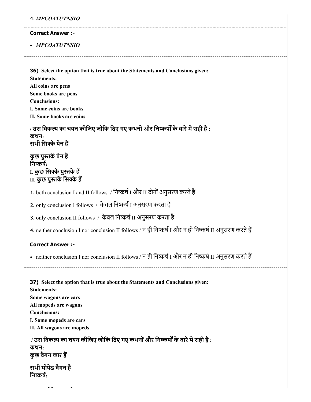|  |  |  |  |  | 4. <i>MPCOATUTNSIO</i> |
|--|--|--|--|--|------------------------|
|--|--|--|--|--|------------------------|

#### Correct Answer :-

*MPCOATUTNSIO*

36) Select the option that is true about the Statements and Conclusions given: Statements: All coins are pens Some books are pens Conclusions: I. Some coins are books II. Some books are coins

/ उस विकल्प का चयन कीजिए जोकि दिए गए कथनों और निष्कर्षों के बारे में सही है : कथन: सभी सिक्के पेन हैं

कुछ पुस्तकें पेन हैं निष्कर्ष: I. कुछ सिक्के पुस्तकें हैं II. कुछ पुस्तकें सिक्के हैं

1. both conclusion I and II follows / निष्कर्ष I और II दोनों अनुसरण करते हैं

2. only conclusion I follows / केवल निष्कर्ष I अनुसरण करता है

3. only conclusion II follows / केवल निष्कर्ष II अनुसरण करता है

4. neither conclusion I nor conclusion II follows / न ही निष्कर्ष I और न ही निष्कर्ष II अनुसरण करते हैं

#### Correct Answer :-

• neither conclusion I nor conclusion II follows / न ही निष्कर्ष I और न ही निष्कर्ष II अनुसरण करते हैं

37) Select the option that is true about the Statements and Conclusions given: Statements: Some wagons are cars All mopeds are wagons Conclusions: I. Some mopeds are cars II. All wagons are mopeds / उस विकल्प का चयन कीजिए जोकि दिए गए कथनों और निष्कर्षों के बारे में सही है : कथन: कुछ वैगन कार ह

सभी मोपेड वैगन ह निष्कर्ष $\cdot$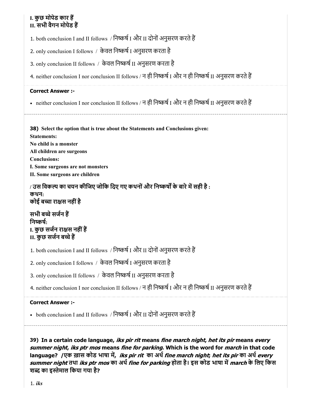# I. कुछ मोपेड कार ह II. सभी वैगन मोपेड ह

1. both conclusion I and II follows / निष्कर्ष I और II दोनों अनुसरण करते हैं

2. only conclusion I follows / केवल निष्कर्ष I अनुसरण करता है

3. only conclusion II follows / केवल निष्कर्ष II अनुसरण करता है

4. neither conclusion I nor conclusion II follows / न ही निष्कर्ष I और न ही निष्कर्ष II अनुसरण करते हैं

### Correct Answer :-

• neither conclusion I nor conclusion II follows / न ही निष्कर्ष I और न ही निष्कर्ष II अनुसरण करते हैं

38) Select the option that is true about the Statements and Conclusions given: Statements: No child is a monster All children are surgeons Conclusions: I. Some surgeons are not monsters

II. Some surgeons are children

/ उस विकल्प का चयन कीजिए जोकि दिए गए कथनों और निष्कर्षों के बारे में सही है : कथन: कोई बच्चा राक्षस नहीं है

सभी बच्चे सर्जन हैं निष्कर्ष: I. कुछ सर्जन राक्षस नहीं हैं II. कुछ सजन बचेह

1. both conclusion I and II follows / निष्कर्ष I और II दोनों अनुसरण करते हैं

2. only conclusion I follows / केवल निष्कर्ष I अनुसरण करता है

3. only conclusion II follows / केवल निष्कर्ष II अनुसरण करता है

4. neither conclusion I nor conclusion II follows / न ही निष्कर्ष I और न ही निष्कर्ष II अनुसरण करते हैं

# Correct Answer :-

• both conclusion I and II follows / निष्कर्ष I और II दोनों अनुसरण करते हैं

39) In a certain code language, *iks pir rit* means *fine march night, het its pir* means *every* summer night, iks ptr mos means fine for parking. Which is the word for *march* in that code language? /एक ख़ास कोड भाषा में, iks pir rit का अर्थ fine march night; het its pir का अर्थ every summer night तथा iks ptr mos का अर्थ fine for parking होता है। इस कोड भाषा में march के लिए किस शब्द का इस्तेमाल किया गया है?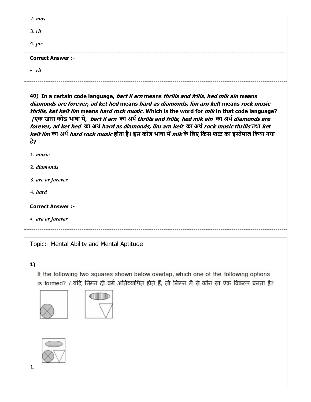| $2. \, \textit{mos}$     |  |
|--------------------------|--|
| $3.$ rit                 |  |
| 4. <i>pir</i>            |  |
| <b>Correct Answer :-</b> |  |
| • rit                    |  |

40) In a certain code language, *bart il arn* means *thrills and frills, hed mik ain* means diamonds are forever, ad ket hed means hard as diamonds, lim arn kelt means rock music thrills, ket kelt lim means hard rock music. Which is the word for mik in that code language? /एक ख़ास कोड भाषा में, bart il arn का अर्थ thrills and frills; hed mik ain का अर्थ diamonds are forever, ad ket hed का अर्थ hard as diamonds, lim arn kelt का अर्थ rock music thrills तथा ket kelt lim का अर्थ hard rock music होता है। इस कोड भाषा में mik के लिए किस शब्द का इस्तेमाल किया गया है?

1. *music*

2. *diamonds*

3. *are or forever*

4. *hard*

Correct Answer :-

*are or forever*

Topic:- Mental Ability and Mental Aptitude

#### 1)

If the following two squares shown below overlap, which one of the following options is formed? / यदि निम्न दो वर्ग अतिव्यापित होते हैं, तो निम्न में से कौन सा एक विकल्प बनता है?





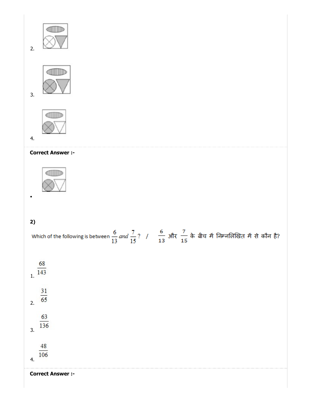





# 4.

3.

### Correct Answer :-



# 2)

 $\bullet$ 

|                        | Which of the following is between $\frac{6}{13}$ and $\frac{7}{15}$ ? / $\frac{6}{13}$ और $\frac{7}{15}$ के बीच में निम्नलिखित में से कौन है? |
|------------------------|-----------------------------------------------------------------------------------------------------------------------------------------------|
| $rac{68}{143}$         |                                                                                                                                               |
| $\frac{31}{65}$<br>2.  |                                                                                                                                               |
| 63<br>136<br>3.        |                                                                                                                                               |
| $\frac{48}{106}$<br>4. |                                                                                                                                               |

Correct Answer :-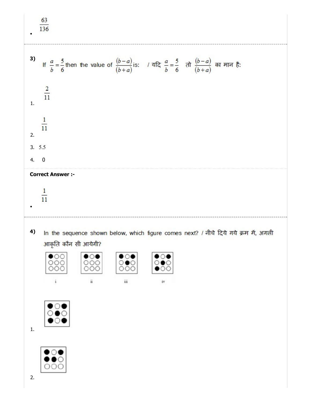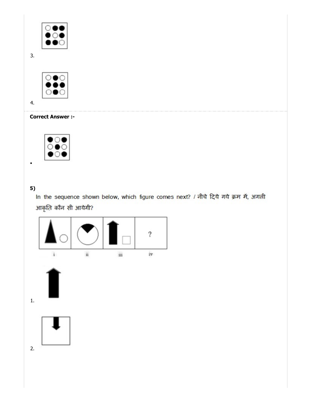

3.



4.

### Correct Answer :-



# 5)

 $\bullet$ 

In the sequence shown below, which figure comes next? / नीचे दिये गये क्रम में, अगली आकृति कौन सी आयेगी?

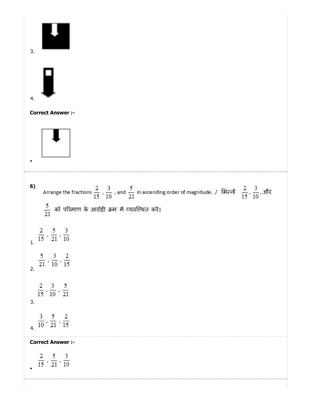| 3.                                                                                                                                                                                                                             |
|--------------------------------------------------------------------------------------------------------------------------------------------------------------------------------------------------------------------------------|
| 4.                                                                                                                                                                                                                             |
| <b>Correct Answer:-</b>                                                                                                                                                                                                        |
| 6)<br>Arrange the fractions $\frac{2}{15}$ , $\frac{3}{10}$ , and $\frac{5}{21}$ in ascending order of magnitude. / शिल्लों $\frac{2}{15}$ , $\frac{3}{10}$ , और<br>$\frac{5}{21}$ को परिमाण के आरोही क्रम में व्यवस्थित करें। |
| $\frac{2}{15}$ , $\frac{5}{21}$ , $\frac{3}{10}$<br>1.                                                                                                                                                                         |
| $\frac{5}{21}$ , $\frac{3}{10}$ , $\frac{2}{15}$                                                                                                                                                                               |
| $\frac{2}{15}$ , $\frac{3}{10}$ , $\frac{5}{21}$<br>3.                                                                                                                                                                         |
| $\frac{3}{10}$ , $\frac{5}{21}$ , $\frac{2}{15}$                                                                                                                                                                               |
| <b>Correct Answer :-</b><br>$\frac{2}{15}$ , $\frac{5}{21}$ , $\frac{3}{10}$                                                                                                                                                   |
|                                                                                                                                                                                                                                |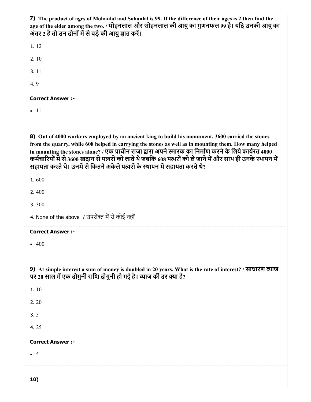| 7) The product of ages of Mohanlal and Sohanlal is 99. If the difference of their ages is 2 then find the<br>age of the elder among the two. / मोहनलाल और सोहनलाल की आयु का गुणनफल 99 है। यदि उनकी आयु का<br>अंतर 2 है तो उन दोनों में से बड़े की आयु ज्ञात करें।                                                                                                                                                                                                                                                   |
|---------------------------------------------------------------------------------------------------------------------------------------------------------------------------------------------------------------------------------------------------------------------------------------------------------------------------------------------------------------------------------------------------------------------------------------------------------------------------------------------------------------------|
| 1.12                                                                                                                                                                                                                                                                                                                                                                                                                                                                                                                |
| 2.10                                                                                                                                                                                                                                                                                                                                                                                                                                                                                                                |
| 3.11                                                                                                                                                                                                                                                                                                                                                                                                                                                                                                                |
| 4.9                                                                                                                                                                                                                                                                                                                                                                                                                                                                                                                 |
| <b>Correct Answer :-</b>                                                                                                                                                                                                                                                                                                                                                                                                                                                                                            |
| $\bullet$ 11                                                                                                                                                                                                                                                                                                                                                                                                                                                                                                        |
| 8) Out of 4000 workers employed by an ancient king to build his monument, 3600 carried the stones<br>from the quarry, while 608 helped in carrying the stones as well as in mounting them. How many helped<br>in mounting the stones alone? / एक प्राचीन राजा द्वारा अपने स्मारक का निर्माण करने के लिये कार्यरत 4000<br>कर्मचारियों में से 3600 खदान से पत्थरों को लाते थे जबकि 608 पत्थरों को ले जाने में और साथ ही उनके स्थापन में<br>सहायता करते थे। उनमें से कितने अकेले पत्थरों के स्थापन में सहायता करते थे? |
| 1.600                                                                                                                                                                                                                                                                                                                                                                                                                                                                                                               |
| 2.400                                                                                                                                                                                                                                                                                                                                                                                                                                                                                                               |
| 3.300                                                                                                                                                                                                                                                                                                                                                                                                                                                                                                               |
| 4. None of the above / उपरोक्त में से कोई नहीं                                                                                                                                                                                                                                                                                                                                                                                                                                                                      |
| <b>Correct Answer :-</b>                                                                                                                                                                                                                                                                                                                                                                                                                                                                                            |
| 400                                                                                                                                                                                                                                                                                                                                                                                                                                                                                                                 |
| 9) At simple interest a sum of money is doubled in 20 years. What is the rate of interest? / साधारण व्याज<br>पर 20 साल में एक दोगुनी राशि दोगुनी हो गई है। ब्याज की दर क्या है?                                                                                                                                                                                                                                                                                                                                     |
| 1.10                                                                                                                                                                                                                                                                                                                                                                                                                                                                                                                |
| 2.20                                                                                                                                                                                                                                                                                                                                                                                                                                                                                                                |
| 3.5                                                                                                                                                                                                                                                                                                                                                                                                                                                                                                                 |
| 4.25                                                                                                                                                                                                                                                                                                                                                                                                                                                                                                                |
| <b>Correct Answer :-</b>                                                                                                                                                                                                                                                                                                                                                                                                                                                                                            |
| $\bullet$ 5                                                                                                                                                                                                                                                                                                                                                                                                                                                                                                         |
| 10)                                                                                                                                                                                                                                                                                                                                                                                                                                                                                                                 |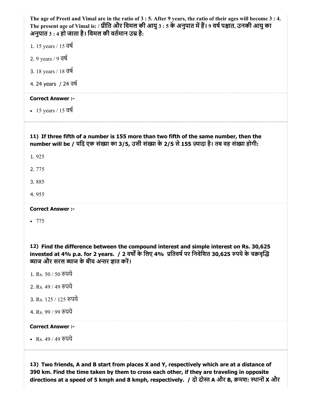| The age of Preeti and Vimal are in the ratio of 3 : 5. After 9 years, the ratio of their ages will become 3 : 4.<br>The present age of Vimal is: / प्रीति और विमल की आयु 3 : 5 के अनुपात में हैं। 9 वर्ष पश्चात, उनकी आयु का<br>अनुपात 3 : 4 हो जाता है। विमल की वर्तमान उम्र है: |
|-----------------------------------------------------------------------------------------------------------------------------------------------------------------------------------------------------------------------------------------------------------------------------------|
| 1. 15 years / 15 वर्ष                                                                                                                                                                                                                                                             |
| 2. 9 years / 9 वर्ष                                                                                                                                                                                                                                                               |
| 3. 18 years / 18 वर्ष                                                                                                                                                                                                                                                             |
| 4. 24 years / 24 वर्ष                                                                                                                                                                                                                                                             |
| <b>Correct Answer :-</b>                                                                                                                                                                                                                                                          |
| • 15 years / 15 $\overline{d}$                                                                                                                                                                                                                                                    |
| 11) If three fifth of a number is 155 more than two fifth of the same number, then the<br>number will be / यदि एक संख्या का 3/5, उसी संख्या के 2/5 से 155 ज़्यादा है। तब वह संख्या होगी:                                                                                          |
| 1.925                                                                                                                                                                                                                                                                             |
| 2.775                                                                                                                                                                                                                                                                             |
| 3.885                                                                                                                                                                                                                                                                             |
|                                                                                                                                                                                                                                                                                   |
| 4.955                                                                                                                                                                                                                                                                             |
| <b>Correct Answer :-</b>                                                                                                                                                                                                                                                          |
| • 775                                                                                                                                                                                                                                                                             |
| 12) Find the difference between the compound interest and simple interest on Rs. 30,625<br>invested at 4% p.a. for 2 years. / 2 वर्षों के लिए 4% प्रतिवर्ष पर निवेशित 30,625 रुपये के चक्रवृद्धि<br>ब्याज और सरल ब्याज के बीच अन्तर ज्ञात करें।                                   |
| 1. Rs. 50 / 50 रुपये                                                                                                                                                                                                                                                              |
| 2. Rs. 49 / 49 रुपये                                                                                                                                                                                                                                                              |
| 3. Rs. 125 / 125 रुपये                                                                                                                                                                                                                                                            |
| 4. Rs. 99 / 99 रुपये                                                                                                                                                                                                                                                              |
| <b>Correct Answer :-</b>                                                                                                                                                                                                                                                          |
| • Rs. 49 / 49 रुपये                                                                                                                                                                                                                                                               |

13) Two friends, A and B start from places X and Y, respectively which are at a distance of 390 km. Find the time taken by them to cross each other, if they are traveling in opposite directions at a speed of 5 kmph and 8 kmph, respectively. / दो दोस्त A और B, क्रमश: स्थानों X और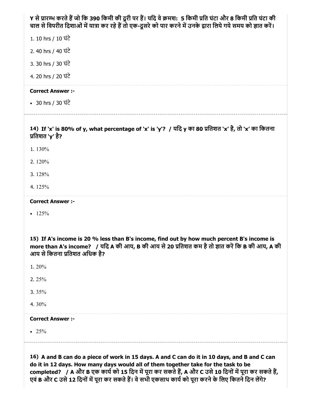| Y से प्रारम्भ करते हैं जो कि 390 किमी की दूरी पर हैं। यदि वे क्रमश: 5 किमी प्रति घंटा और 8 किमी प्रति घंटा की<br>चाल से विपरीत दिशाओं में यात्रा कर रहे हैं तो एक-दूसरे को पार करने में उनके द्वारा लिये गये समय को ज्ञात करें।                                                                                                                                                                       |
|-------------------------------------------------------------------------------------------------------------------------------------------------------------------------------------------------------------------------------------------------------------------------------------------------------------------------------------------------------------------------------------------------------|
| 1. 10 hrs / 10 घंटे                                                                                                                                                                                                                                                                                                                                                                                   |
| 2.40 hrs / 40 ਬੋਟੇ                                                                                                                                                                                                                                                                                                                                                                                    |
| 3. 30 hrs / 30 ਬੋਟੇ                                                                                                                                                                                                                                                                                                                                                                                   |
| 4. 20 hrs / 20 ਬੋਟੇ                                                                                                                                                                                                                                                                                                                                                                                   |
| <b>Correct Answer :-</b>                                                                                                                                                                                                                                                                                                                                                                              |
| • 30 hrs / 30 घंटे                                                                                                                                                                                                                                                                                                                                                                                    |
| 14) If 'x' is 80% of y, what percentage of 'x' is 'y'? / यदि y का 80 प्रतिशत 'x' है, तो 'x' का कितना<br>प्रतिशत `y' है?                                                                                                                                                                                                                                                                               |
| 1.130%                                                                                                                                                                                                                                                                                                                                                                                                |
| 2.120%                                                                                                                                                                                                                                                                                                                                                                                                |
| 3.128%                                                                                                                                                                                                                                                                                                                                                                                                |
| 4.125%                                                                                                                                                                                                                                                                                                                                                                                                |
| <b>Correct Answer :-</b>                                                                                                                                                                                                                                                                                                                                                                              |
| $-125%$                                                                                                                                                                                                                                                                                                                                                                                               |
| 15) If A's income is 20 % less than B's income, find out by how much percent B's income is<br>more than A's income? / यदि A की आय, B की आय से 20 प्रतिशत कम है तो ज्ञात करें कि B की आय, A की<br>आय से कितना प्रतिशत अधिक है?                                                                                                                                                                         |
| 1.20%                                                                                                                                                                                                                                                                                                                                                                                                 |
| 2.25%                                                                                                                                                                                                                                                                                                                                                                                                 |
| 3. $35%$                                                                                                                                                                                                                                                                                                                                                                                              |
| 4.30%                                                                                                                                                                                                                                                                                                                                                                                                 |
| <b>Correct Answer :-</b>                                                                                                                                                                                                                                                                                                                                                                              |
| • 25%                                                                                                                                                                                                                                                                                                                                                                                                 |
| 16) A and B can do a piece of work in 15 days. A and C can do it in 10 days, and B and C can<br>do it in 12 days. How many days would all of them together take for the task to be<br>completed? / A और B एक कार्य को 15 दिन में पूरा कर सकते हैं, A और C उसे 10 दिनों में पूरा कर सकते हैं,<br>एवं B और C उसे 12 दिनों में पूरा कर सकते हैं। वे सभी एकसाथ कार्य को पूरा करने के लिए कितने दिन लेंगे? |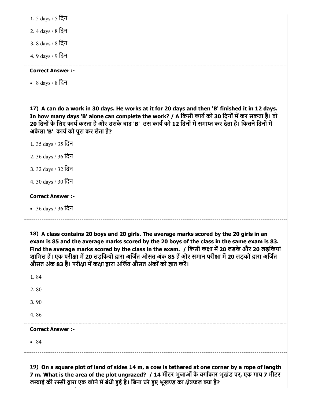| 1. 5 days / 5 दिन |  |
|-------------------|--|
|-------------------|--|

2. 4 days / 8 िदन

3. 8 days / 8 िदन

4. 9 days / 9 िदन

# Correct Answer :-

8 days / 8 िदन

17) A can do a work in 30 days. He works at it for 20 days and then 'B' finished it in 12 days. In how many days 'B' alone can complete the work? / A किसी कार्य को 30 दिनों में कर सकता है। वो 20 दिनों के लिए कार्य करता है और उसके बाद 'B' उस कार्य को 12 दिनों में समाप्त कर देता है। कितने दिनों में अकेला 'B' कार्य को पूरा कर लेता है?

- 1. 35 days / 35 िदन
- 2. 36 days / 36 िदन
- 3. 32 days / 32 िदन
- 4. 30 days / 30 िदन

# Correct Answer :-

36 days / 36 िदन

18) A class contains 20 boys and 20 girls. The average marks scored by the 20 girls in an exam is 85 and the average marks scored by the 20 boys of the class in the same exam is 83. Find the average marks scored by the class in the exam. / किसी कक्षा में 20 लड़के और 20 लड़कियां शामिल हैं। एक परीक्षा में 20 लड़कियों द्वारा अर्जित औसत अंक 85 हैं और समान परीक्षा में 20 लड़कों द्वारा अर्जित औसत अंक 83 हैं। परीक्षा में कक्षा द्वारा अर्जित औसत अंकों को ज्ञात करें।

| 1.84                     |  |  |
|--------------------------|--|--|
| 2.80                     |  |  |
| 3.90                     |  |  |
| 4.86                     |  |  |
| <b>Correct Answer :-</b> |  |  |
| • 84                     |  |  |
|                          |  |  |

19) On a square plot of land of sides 14 m, a cow is tethered at one corner by a rope of length 7 m. What is the area of the plot ungrazed? / 14 मीटर भुजाओं के वर्गाकार भूखंड पर, एक गाय 7 मीटर लम्बाई की रस्सी द्वारा एक कोने में बंधी हुई है। बिना चरे हुए भूखण्ड का क्षेत्रफल क्या है?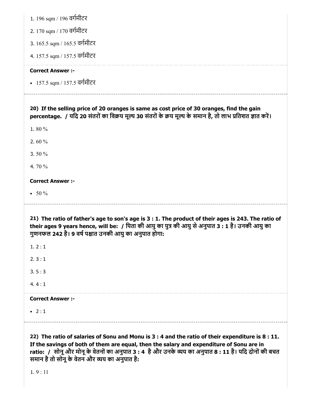|  | 1. 196 sqm / 196 वर्गमीटर |  |  |
|--|---------------------------|--|--|

- 2. 170 sqm / 170 वगमीटर
- 3. 165.5 sqm / 165.5 वगमीटर
- 4. 157.5 sqm / 157.5 वगमीटर

#### Correct Answer :-

157.5 sqm / 157.5 वगमीटर

# 20) If the selling price of 20 oranges is same as cost price of 30 oranges, find the gain percentage. / यदि 20 संतरों का विक्रय मूल्य 30 संतरों के क्रय मूल्य के समान है, तो लाभ प्रतिशत ज्ञात करें।

1. 80 %

2. 60 %

3. 50 %

4. 70 %

#### Correct Answer :-

 $• 50 \%$ 

21) The ratio of father's age to son's age is 3 : 1. The product of their ages is 243. The ratio of

their ages 9 years hence, will be: / पिता की आयु का पुत्र की आयु से अनुपात 3 : 1 है। उनकी आयु का गुणनफल 242 है। 9 वर्ष पश्चात उनकी आयु का अनुपात होगा:

 $1.2:1$ 

2. 3 : 1

3. 5 : 3

 $4.4:1$ 

#### Correct Answer :-

 $-2:1$ 

22) The ratio of salaries of Sonu and Monu is 3 : 4 and the ratio of their expenditure is 8 : 11. If the savings of both of them are equal, then the salary and expenditure of Sonu are in ratio: / सोनू और मोनू के वेतनों का अनुपात 3 : 4 है और उनके व्यय का अनुपात 8 : 11 है। यदि दोनों की बचत समान है तो सोनू के वेतन और व्यय का अनुपात है:

1. 9 : 11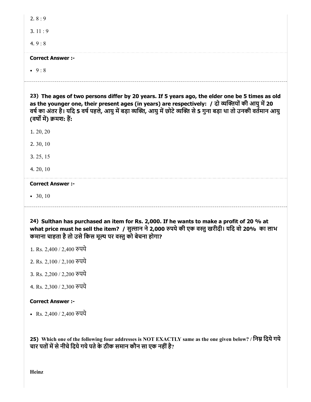| 2. $8:9$                                                                                                                                                                                             |
|------------------------------------------------------------------------------------------------------------------------------------------------------------------------------------------------------|
| 3. $11:9$                                                                                                                                                                                            |
| 4.9:8                                                                                                                                                                                                |
| <b>Correct Answer :-</b>                                                                                                                                                                             |
| • $9:8$                                                                                                                                                                                              |
| 23) The ages of two persons differ by 20 years. If 5 years ago, the elder one be 5 times as old<br>as the younger one, their present ages (in years) are respectively: / दो व्यक्तियों की आयु में 20 |
| वर्ष का अंतर है। यदि 5 वर्ष पहले, आयु में बड़ा व्यक्ति, आयु में छोटे व्यक्ति से 5 गुना बड़ा था तो उनकी वर्तमान आयु<br>(वर्षों में) क्रमश: हैं:                                                       |
| 1.20,20                                                                                                                                                                                              |
| 2.30, 10                                                                                                                                                                                             |
| 3. 25, 15                                                                                                                                                                                            |
| 4. 20, 10                                                                                                                                                                                            |
| <b>Correct Answer :-</b>                                                                                                                                                                             |

24) Sulthan has purchased an item for Rs. 2,000. If he wants to make a profit of 20 % at what price must he sell the item? / सुल्तान ने 2,000 रुपये की एक वस्तु खरीदी। यदि वो 20% का लाभ कमाना चाहता है तो उसे किस मूल्य पर वस्तु को बेचना होगा?

- 1. Rs. 2,400 / 2,400 पये
- 2. Rs. 2,100 / 2,100 पये
- 3. Rs. 2,200 / 2,200 पये
- 4. Rs. 2,300 / 2,300 पये

#### Correct Answer :-

Rs. 2,400 / 2,400 पये

25) Which one of the following four addresses is NOT EXACTLY same as the one given below? / निम्न दिये गये चार पतों में से नीचे दिये गये पते के ठीक समान कौन सा एक नहीं है?

Heinz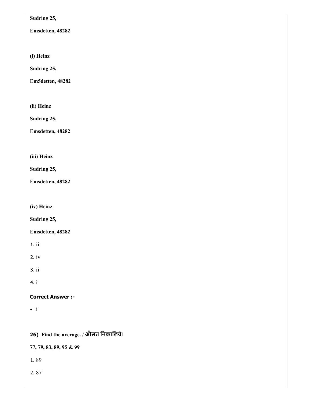Sudring 25,

Emsdetten, 48282

(i) Heinz

Sudring 25,

Em5detten, 48282

(ii) Heinz

Sudring 25,

Emsdetten, 48282

(iii) Heinz

Sudring 25,

Emsdetten, 48282

(iv) Heinz

Sudring 25,

Emsdetten, 48282

1. iii

2. iv

3. ii

4. i

# Correct Answer :-

 $\bullet$  i

26) Find the average. / औसत िनकािलये।

77, 79, 83, 89, 95 & 99

1. 89

2. 87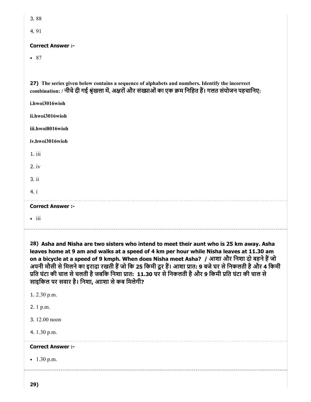| ۰.<br>M. | ۰.<br>۰.<br>× |
|----------|---------------|
|          |               |

4. 91

### Correct Answer :-

• 87

27) The series given below contains a sequence of alphabets and numbers. Identify the incorrect combination: / नीचे दी गई श्रृंखला में, अक्षरों और संख्याओं का एक क्रम निहित हैं। गलत संयोजन पहचानिए:

| i.hwoi3016wioh           |  |
|--------------------------|--|
| ii.hwoi3016wioh          |  |
| iii.hwoi8016wioh         |  |
| iv.hwoi3016wioh          |  |
| 1.iii                    |  |
| $2.$ iv                  |  |
| 3. ii                    |  |
| 4. i                     |  |
| <b>Correct Answer :-</b> |  |
| $\bullet$ iii            |  |

28) Asha and Nisha are two sisters who intend to meet their aunt who is 25 km away. Asha leaves home at 9 am and walks at a speed of 4 km per hour while Nisha leaves at 11.30 am on a bicycle at a speed of 9 kmph. When does Nisha meet Asha? / आशा और निशा दो बहने हैं जो अपनी मौसी से मिलने का इरादा रखती हैं जो कि 25 किमी दूर हैं। आशा प्रात: 9 बजे घर से निकलती है और 4 किमी प्रति घंटा की चाल से चलती है जबकि निशा प्रात: 11.30 घर से निकलती है और 9 किमी प्रति घंटा की चाल से साइकिल पर सवार है। निशा, आाशा से कब मिलेगी?

| 1. 2.30 p.m.             |  |  |
|--------------------------|--|--|
| 2. 1 p.m.                |  |  |
| 3.12.00 noon             |  |  |
| 4. 1.30 p.m.             |  |  |
| <b>Correct Answer :-</b> |  |  |
| $\bullet$ 1.30 p.m.      |  |  |
|                          |  |  |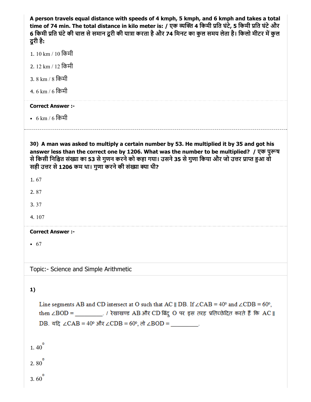A person travels equal distance with speeds of 4 kmph, 5 kmph, and 6 kmph and takes a total time of 74 min. The total distance in kilo meter is: / एक व्यक्ति 4 किमी प्रति घंटे, 5 किमी प्रति घंटे और 6 किमी प्रति घंटे की चाल से समान दूरी की यात्रा करता है और 74 मिनट का कुल समय लेता है। किलो मीटर में कुल दूरी है:

- 1. 10 km / 10 िकमी
- 2. 12 km / 12 िकमी
- 3. 8 km / 8 िकमी
- 4. 6 km / 6 िकमी

#### Correct Answer :-

6 km / 6 िकमी

30) A man was asked to multiply a certain number by 53. He multiplied it by 35 and got his answer less than the correct one by 1206. What was the number to be multiplied? / एक पुरूष से किसी निश्चित संख्या का 53 से गुणन करने को कहा गया। उसने 35 से गुणा किया और जो उत्तर प्राप्त हुआ वो सही उत्तर से 1206 कम था। गुणा करने की संख्या क्या थी?

- 1. 67
- 2. 87
- 3. 37
- 4. 107

#### Correct Answer :-

 $67$ 

Topic:- Science and Simple Arithmetic

# 1)

Line segments AB and CD intersect at O such that AC || DB. If  $\angle$ CAB = 40° and  $\angle$ CDB = 60°, then ∠BOD = \_\_\_\_\_\_\_\_\_. / रेखाखण्ड AB और CD बिंदु O पर इस तरह प्रतिच्छेदित करते हैं कि AC || DB. यदि ∠CAB = 40° और ∠CDB = 60°, तो ∠BOD =

1. 40  $2.80$ 3. 60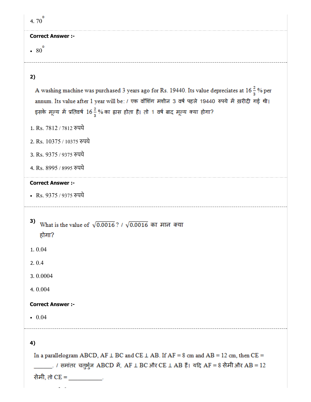| 4.70 $^{\circ}$          |
|--------------------------|
| <b>Correct Answer :-</b> |
| $\cdot$ 80 <sup>o</sup>  |
|                          |

# 2)

A washing machine was purchased 3 years ago for Rs. 19440. Its value depreciates at 16 $\frac{2}{3}$ % per annum. Its value after 1 year will be: / एक वॉशिंग मशीन 3 वर्ष पहले 19440 रुपये में ख़रीदी गई थी। इसके मूल्य में प्रतिवर्ष 16<sup>2</sup> % का ह्रास होता है। तो 1 वर्ष बाद मूल्य क्या होगा?

- 1. Rs. 7812 / 7812 रुपये
- 2. Rs. 10375 / 10375 पये
- 3. Rs. 9375 / 9375 पये
- 4. Rs. 8995 / 8995 पये

#### Correct Answer :-

- Rs. 9375 / 9375 रुपये
- 3) What is the value of  $\sqrt{0.0016}$  ? /  $\sqrt{0.0016}$  का मान क्या होगा?
- 1. 0.04
- 2. 0.4
- 3. 0.0004
- 4. 0.004

#### Correct Answer :-

 $0.04$ 

4)

In a parallelogram ABCD, AF  $\perp$  BC and CE  $\perp$  AB. If AF = 8 cm and AB = 12 cm, then CE = \_\_\_\_\_\_\_. / समांतर चतुर्भुज ABCD में, AF L BC और CE L AB हैं। यदि AF = 8 सेमी और AB = 12 सेमी, तो CE =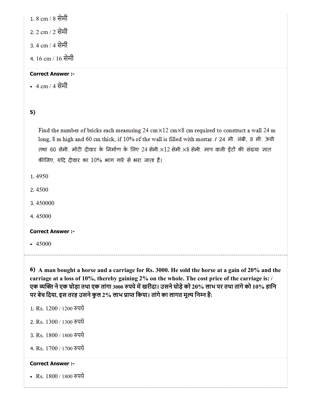1. 8 cm / 8 सेमी

2. 2 cm / 2 सेमी

3. 4 cm / 4 सेमी

4. 16 cm / 16 सेमी

# Correct Answer :-

4 cm / 4 सेमी

5)

Find the number of bricks each measuring 24 cm $\times$ 12 cm $\times$ 8 cm required to construct a wall 24 m long, 8 m high and 60 cm thick, if 10% of the wall is filled with mortar. / 24 मी. लंबी, 8 मी. ऊंची तथा 60 सेमी. मोटी दीवार के निर्माण के लिए 24 सेमी.×12 सेमी.×8 सेमी. माप वाली ईंटों की संख्या ज्ञात कीजिए, यदि दीवार का 10% भाग गारे से भरा जाता है।

1. 4950

- 2. 4500
- 3. 450000
- 4. 45000

# Correct Answer :-

 $-45000$ 

6) A man bought a horse and a carriage for Rs. 3000. He sold the horse at a gain of 20% and the carriage at a loss of 10%, thereby gaining 2% on the whole. The cost price of the carriage is: / एक व्यक्ति ने एक घोड़ा तथा एक तांगा 3000 रुपये में खरीदा। उसने घोड़े को 20% लाभ पर तथा तांगे को 10% हानि पर बेच दिया, इस तरह उसने कुल 2% लाभ प्राप्त किया। तांगे का लागत मूल्य निम्न है:

- 1. Rs. 1200 / 1200 रुपये
- 2. Rs. 1300 / 1300 पये
- 3. Rs. 1800 / 1800 पये
- 4. Rs. 1700 / 1700 पये

# Correct Answer :-

• Rs. 1800 / 1800 रुपये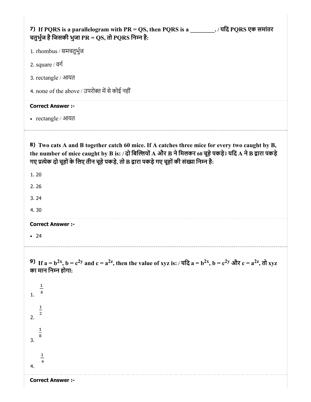| 7) If PQRS is a parallelogram with PR = QS, then PQRS is a $\qquad \qquad$ . The PQRS von HH intervalsed a parallelogram with PR = QS, then PQRS is a<br>चतुर्भुज है जिसकी भुजा PR = QS, तो PQRS निम्न है:                                                                                               |
|----------------------------------------------------------------------------------------------------------------------------------------------------------------------------------------------------------------------------------------------------------------------------------------------------------|
| 1. rhombus / समचतुर्भुज                                                                                                                                                                                                                                                                                  |
| 2. square $\sqrt{d}$                                                                                                                                                                                                                                                                                     |
| 3. rectangle / आयत                                                                                                                                                                                                                                                                                       |
| 4. none of the above / उपरोक्त में से कोई नहीं                                                                                                                                                                                                                                                           |
| <b>Correct Answer :-</b>                                                                                                                                                                                                                                                                                 |
| • rectangle / आयत                                                                                                                                                                                                                                                                                        |
| 8) Two cats A and B together catch 60 mice. If A catches three mice for every two caught by B,<br>the number of mice caught by B is: / दो बिल्लियों A और B ने मिलकर 60 चूहे पकड़े। यदि A ने B द्वारा पकड़े<br>गए प्रत्येक दो चूहों के लिए तीन चूहे पकड़े, तो B द्वारा पकड़े गए चूहों की संख्या निम्न है: |
| 1.20                                                                                                                                                                                                                                                                                                     |
| 2.26                                                                                                                                                                                                                                                                                                     |
| 3.24                                                                                                                                                                                                                                                                                                     |
| 4.30                                                                                                                                                                                                                                                                                                     |
| <b>Correct Answer :-</b>                                                                                                                                                                                                                                                                                 |
| $\bullet$ 24                                                                                                                                                                                                                                                                                             |
| 9) If $a = b^{2x}$ , $b = c^{2y}$ and $c = a^{2z}$ , then the value of xyz is: / यदि $a = b^{2x}$ , $b = c^{2y}$ और $c = a^{2z}$ , तो xyz<br>का मान निम्न होगा:                                                                                                                                          |
| $\frac{1}{6}$<br>1.                                                                                                                                                                                                                                                                                      |
| $\frac{1}{2}$<br>2.                                                                                                                                                                                                                                                                                      |
| $\frac{1}{8}$<br>3.                                                                                                                                                                                                                                                                                      |
| $\frac{1}{4}$<br>4.                                                                                                                                                                                                                                                                                      |

Correct Answer :-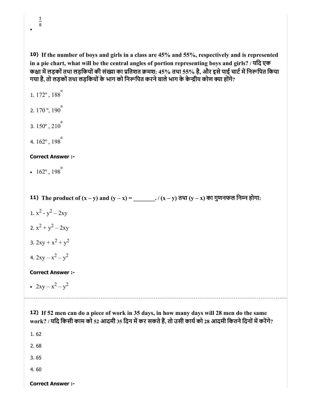$\frac{1}{8}$ 

10) If the number of boys and girls in a class are 45% and 55%, respectively and is represented in a pie chart, what will be the central angles of portion representing boys and girls? / यिद एक कक्षा में लड़कों तथा लड़कियों की संख्या का प्रतिशत क्रमश: 45% तथा 55% है, और इसे पाई चार्ट में निरूपित किया गया है, तो लड़कों तथा लड़कियों के भाग को निरूपित करने वाले भाग के केन्द्रीय कोण क्या होंगे?

11) The product of (x – y) and (y – x) = \_\_\_\_\_\_\_. / (x – y) तथा (y – x) का गुणनफल िनन होगा: 12) If 52 men can do a piece of work in 35 days, in how many days will 28 men do the same 1. 172º , 188 2.  $170^\circ$ ,  $190^\circ$ 3.  $150^{\circ}$ ,  $210^{\circ}$ 4. 162º , 198 Correct Answer :- •  $162^{\circ}$ ,  $198^{\circ}$ 1.  $x^2 - y^2 - 2xy$ 2.  $x^2 + y^2 - 2xy$ 3.  $2xy + x^2 + y^2$ 4.  $2xy - x^2 - y^2$ Correct Answer :-  $2xy - x^2 - y^2$ work? / यदि किसी काम को 52 आदमी 35 दिन में कर सकते हैं, तो उसी कार्य को 28 आदमी कितने दिनों में करेंगे? 1. 62

2. 68

3. 65

4. 60

Correct Answer :-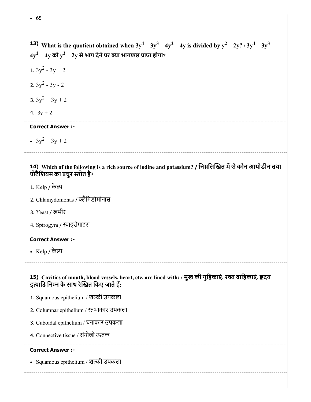#### • 65

**13)** What is the quotient obtained when  $3y^4 - 3y^3 - 4y^2 - 4y$  is divided by  $y^2 - 2y$ ?  $/3y^4 - 3y^3 - 4y^2 - 4y^2 - 4y$  $4{\rm y}^2$  –  $4{\rm y}$  को  ${\rm y}^2$  –  $2{\rm y}$  से भाग देने पर क्या भागफल प्राप्त होगा? 1.  $3y^2 - 3y + 2$ 

2.  $3y^2 - 3y - 2$ 

- 3.  $3y^2 + 3y + 2$
- 4.  $3y + 2$

# Correct Answer :-

 $3y^2 + 3y + 2$ 

# 14) Which of the following is a rich source of iodine and potassium? / निम्नलिखित में से कौन आयोडीन तथा पोटैशियम का प्रचुर स्त्रोत है?

- 1. Kelp / के
- 2. Chlamydomonas / क्लैमिडोमोनास
- 3. Yeast / खमीर
- 4. Spirogyra / स्पाइरोगाइरा

# Correct Answer :-

• Kelp / केल्प

# 15) Cavities of mouth, blood vessels, heart, etc, are lined with: / मुख की गुहिकाए, रक्त वाहिकाए, हृदय इत्यादि निम्न के साथ रेखित किए जाते हैं:

- 1. Squamous epithelium / शकी उपकला
- 2. Columnar epithelium / तंभाकार उपकला
- 3. Cuboidal epithelium / घनाकार उपकला
- 4. Connective tissue / संयोजी ऊतक

#### Correct Answer :-

• Squamous epithelium / शल्की उपकला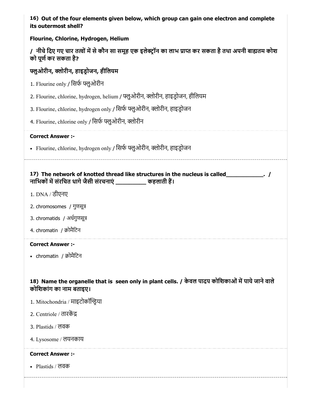16) Out of the four elements given below, which group can gain one electron and complete its outermost shell?

# Flourine, Chlorine, Hydrogen, Helium

|                      |  | / नीचे दिए गए चार तत्वों में से कौन सा समूह एक इलेक्ट्रॉन का लाभ प्राप्त कर सकता है तथा अपनी बाह्यतम कोश |
|----------------------|--|----------------------------------------------------------------------------------------------------------|
| को पूर्ण कर सकता है? |  |                                                                                                          |

# फ्लुओरीन, क्लोरीन, हाइडोजन, हीलियम

- 1. Flourine only / सिर्फ फ्लुओरीन
- 2. Flourine, chlorine, hydrogen, helium / फ्लुओरीन, क्लोरीन, हाइड्रोजन, हीलियम
- 3. Flourine, chlorine, hydrogen only / सिर्फ फ्लूओरीन, क्लोरीन, हाइड़ोजन
- 4. Flourine, chlorine only / सिर्फ फ्लुओरीन, क्लोरीन

#### Correct Answer :-

• Flourine, chlorine, hydrogen only / सिर्फ फ्लुओरीन, क्लोरीन, हाइड्रोजन

# 17) The network of knotted thread like structures in the nucleus is called\_\_\_\_\_\_\_\_\_\_\_. / नाभिकों में संरचित धागे जैसी संरचनाएं \_\_\_\_\_\_\_\_\_\_ कहलाती हैं।

- 1. DNA / डीएनए
- 2. chromosomes / गुणसू
- 3. chromatids / अधगुणसू
- 4. chromatin / क्रोमैटिन

#### Correct Answer :-

• chromatin / क्रोमैटिन

# 18) Name the organelle that is seen only in plant cells. / केवल पादप कोशिकाओं में पाये जाने वाले कोिशकांग का नाम बताइए।

- 1. Mitochondria / माइटोकॉया
- 2. Centriole / तारक
- 3. Plastids / लवक
- 4. Lysosome / लयनकाय

# Correct Answer :-

Plastids / लवक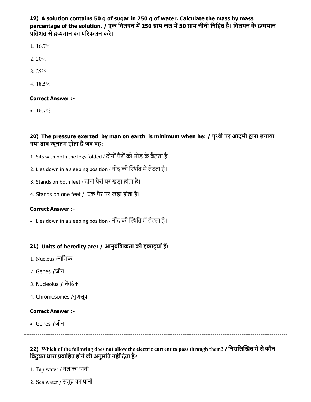# 19) A solution contains 50 g of sugar in 250 g of water. Calculate the mass by mass percentage of the solution. / एक विलयन में 250 ग्राम जल में 50 ग्राम चीनी निहित है। विलयन के द्रव्यमान प्रतिशत से द्रव्यमान का परिकलन करें।

1. 16.7%

- 2. 20%
- 3. 25%
- 4. 18.5%

#### Correct Answer :-

 $• 16.7\%$ 

20) The pressure exerted by man on earth is minimum when he: / पृथ्वी पर आदमी द्वारा लगाया

- गया दाब न्यूनतम होता है जब वह:
- 1. Sits with both the legs folded / दोनों पैरों को मोड़ के बैठता है।
- 2. Lies down in a sleeping position / नींद की स्थिति में लेटता है।
- 3. Stands on both feet / दोनों पैरों पर खड़ा होता है।
- 4. Stands on one feet / एक पैर पर खड़ा होता है।

### Correct Answer :-

• Lies down in a sleeping position / नींद की स्थिति में लेटता है।

# 21) Units of heredity are: / आनुवंिशकता की इकाइयाँह:

- 1. Nucleus /नािभक
- 2. Genes /जीन
- 3. Nucleolus / किक
- 4. Chromosomes /गुणसू

#### Correct Answer :-

• Genes /जीन

# 22) Which of the following does not allow the electric current to pass through them? / निम्नलिखित में से कौन विदुयत धारा प्रवाहित होने की अनुमति नहीं देता है?

1. Tap water / नल का पानी

2. Sea water / समुद्र का पानी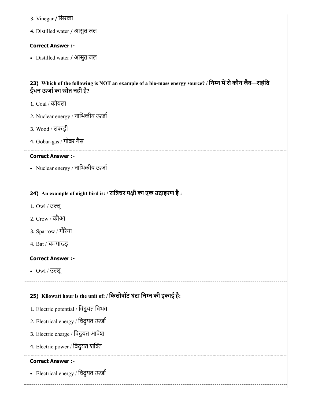- 3. Vinegar / िसरका
- 4. Distilled water / आसुत जल

#### Correct Answer :-

Distilled water / आसुत जल

# 23) Which of the following is NOT an example of a bio-mass energy source? / निम्न में से कौन जैव—सहंति ईंधन ऊर्जा का स्रोत नहीं है?

- 1. Coal / कोयला
- 2. Nuclear energy / नािभकीय ऊजा
- 3. Wood / लकड़ी
- 4. Gobar-gas / गोबर गैस

#### Correct Answer :-

Nuclear energy / नािभकीय ऊजा

# 24) An example of night bird is: / रात्रिचर पक्षी का एक उदाहरण है :

- 1. Owl / उलू
- 2. Crow / कौआ
- 3. Sparrow / गौरैया
- 4. Bat / चमगादड़

#### Correct Answer :-

Owl / उलू

# 25) Kilowatt hour is the unit of: / िकलोवॉट घंटा िनन की इकाई है:

- 1. Electric potential / विदुयत विभव
- 2. Electrical energy / िवद्ुयत ऊजा
- 3. Electric charge / िवद्ुयत आवेश
- 4. Electric power / विदुयत शक्ति

# Correct Answer :-

Electrical energy / िवद्ुयत ऊजा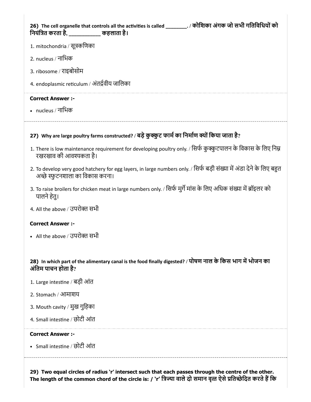26) The cell organelle that controls all the activities is called \_\_\_\_\_\_\_\_\_. / कोशिका अंगक जो सभी गतिविधियों को िनयंित करता है, \_\_\_\_\_\_\_\_\_\_\_\_ कहलाता है।

- 1. mitochondria / सूकिणका
- 2. nucleus / नािभक
- 3. ribosome / राइबोसोम
- 4. endoplasmic reticulum / अंतर्द्रवीय जालिका

#### Correct Answer :-

nucleus / नािभक

# 27) Why are large poultry farms constructed? / बड़े कुक्कुट फार्म का निर्माण क्यों किया जाता है?

- 1. There is low maintenance requirement for developing poultry only. / सिर्फ कुक्कुटपालन के विकास के लिए निम्न रखरखाव की आवकता है।
- 2. To develop very good hatchery for egg layers, in large numbers only. / सिर्फ बड़ी संख्या में अंडा देने के लिए बहुत अच्छे स्फुटनशाला का विकास करना।
- 3. To raise broilers for chicken meat in large numbers only. / सिर्फ मुर्गे मांस के लिए अधिक संख्या में ब्रॉइलर को पालनेहेतु।
- 4. All the above / उपरोक्त सभी

#### Correct Answer :-

• All the above / उपरोक्त सभी

# 28) In which part of the alimentary canal is the food finally digested? / पोषण नाल के किस भाग में भोजन का अंतिम पाचन होता है?

- 1. Large intestine / बड़ी आंत
- 2. Stomach / आमाशय
- 3. Mouth cavity / मुख गुिहका
- 4. Small intestine / छोटी आंत

#### Correct Answer :-

• Small intestine / छोटी आंत

29) Two equal circles of radius 'r' intersect such that each passes through the centre of the other. The length of the common chord of the circle is: / `r' त्रिज्या वाले दो समान वृत्त ऐसे प्रतिच्छेदित करते हैं कि